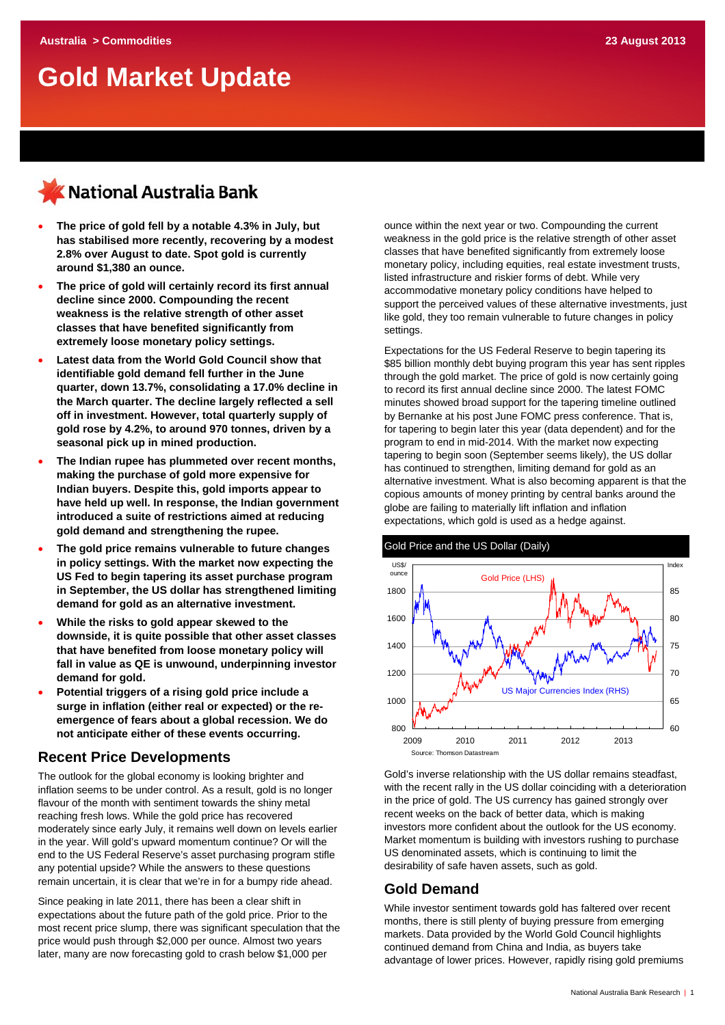# **Gold Market Update**

# KNational Australia Bank

- **The price of gold fell by a notable 4.3% in July, but has stabilised more recently, recovering by a modest 2.8% over August to date. Spot gold is currently around \$1,380 an ounce.**
- **The price of gold will certainly record its first annual decline since 2000. Compounding the recent weakness is the relative strength of other asset classes that have benefited significantly from extremely loose monetary policy settings.**
- **Latest data from the World Gold Council show that identifiable gold demand fell further in the June quarter, down 13.7%, consolidating a 17.0% decline in the March quarter. The decline largely reflected a sell off in investment. However, total quarterly supply of gold rose by 4.2%, to around 970 tonnes, driven by a seasonal pick up in mined production.**
- **The Indian rupee has plummeted over recent months, making the purchase of gold more expensive for Indian buyers. Despite this, gold imports appear to have held up well. In response, the Indian government introduced a suite of restrictions aimed at reducing gold demand and strengthening the rupee.**
- **The gold price remains vulnerable to future changes in policy settings. With the market now expecting the US Fed to begin tapering its asset purchase program in September, the US dollar has strengthened limiting demand for gold as an alternative investment.**
- **While the risks to gold appear skewed to the downside, it is quite possible that other asset classes that have benefited from loose monetary policy will fall in value as QE is unwound, underpinning investor demand for gold.**
- **Potential triggers of a rising gold price include a surge in inflation (either real or expected) or the reemergence of fears about a global recession. We do not anticipate either of these events occurring.**

### **Recent Price Developments**

The outlook for the global economy is looking brighter and inflation seems to be under control. As a result, gold is no longer flavour of the month with sentiment towards the shiny metal reaching fresh lows. While the gold price has recovered moderately since early July, it remains well down on levels earlier in the year. Will gold's upward momentum continue? Or will the end to the US Federal Reserve's asset purchasing program stifle any potential upside? While the answers to these questions remain uncertain, it is clear that we're in for a bumpy ride ahead.

Since peaking in late 2011, there has been a clear shift in expectations about the future path of the gold price. Prior to the most recent price slump, there was significant speculation that the price would push through \$2,000 per ounce. Almost two years later, many are now forecasting gold to crash below \$1,000 per

ounce within the next year or two. Compounding the current weakness in the gold price is the relative strength of other asset classes that have benefited significantly from extremely loose monetary policy, including equities, real estate investment trusts, listed infrastructure and riskier forms of debt. While very accommodative monetary policy conditions have helped to support the perceived values of these alternative investments, just like gold, they too remain vulnerable to future changes in policy settings.

Expectations for the US Federal Reserve to begin tapering its \$85 billion monthly debt buying program this year has sent ripples through the gold market. The price of gold is now certainly going to record its first annual decline since 2000. The latest FOMC minutes showed broad support for the tapering timeline outlined by Bernanke at his post June FOMC press conference. That is, for tapering to begin later this year (data dependent) and for the program to end in mid-2014. With the market now expecting tapering to begin soon (September seems likely), the US dollar has continued to strengthen, limiting demand for gold as an alternative investment. What is also becoming apparent is that the copious amounts of money printing by central banks around the globe are failing to materially lift inflation and inflation expectations, which gold is used as a hedge against.



Gold's inverse relationship with the US dollar remains steadfast, with the recent rally in the US dollar coinciding with a deterioration in the price of gold. The US currency has gained strongly over recent weeks on the back of better data, which is making investors more confident about the outlook for the US economy. Market momentum is building with investors rushing to purchase US denominated assets, which is continuing to limit the desirability of safe haven assets, such as gold.

### **Gold Demand**

While investor sentiment towards gold has faltered over recent months, there is still plenty of buying pressure from emerging markets. Data provided by the World Gold Council highlights continued demand from China and India, as buyers take advantage of lower prices. However, rapidly rising gold premiums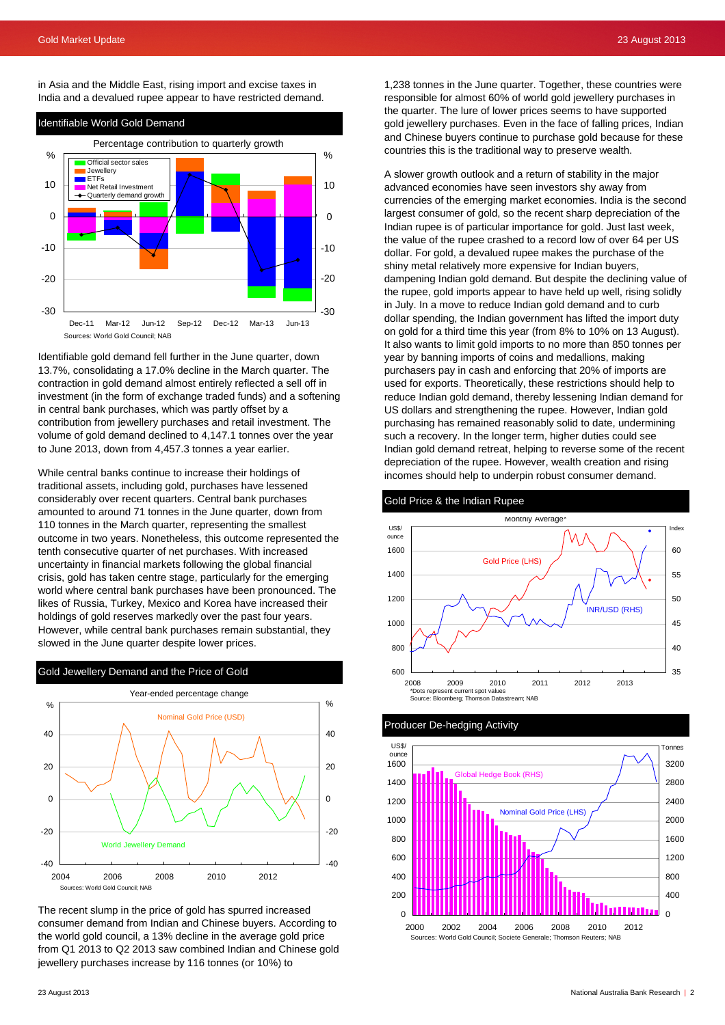in Asia and the Middle East, rising import and excise taxes in India and a devalued rupee appear to have restricted demand.



Identifiable gold demand fell further in the June quarter, down 13.7%, consolidating a 17.0% decline in the March quarter. The contraction in gold demand almost entirely reflected a sell off in investment (in the form of exchange traded funds) and a softening in central bank purchases, which was partly offset by a contribution from jewellery purchases and retail investment. The volume of gold demand declined to 4,147.1 tonnes over the year to June 2013, down from 4,457.3 tonnes a year earlier.

While central banks continue to increase their holdings of traditional assets, including gold, purchases have lessened considerably over recent quarters. Central bank purchases amounted to around 71 tonnes in the June quarter, down from 110 tonnes in the March quarter, representing the smallest outcome in two years. Nonetheless, this outcome represented the tenth consecutive quarter of net purchases. With increased uncertainty in financial markets following the global financial crisis, gold has taken centre stage, particularly for the emerging world where central bank purchases have been pronounced. The likes of Russia, Turkey, Mexico and Korea have increased their holdings of gold reserves markedly over the past four years. However, while central bank purchases remain substantial, they slowed in the June quarter despite lower prices.



The recent slump in the price of gold has spurred increased consumer demand from Indian and Chinese buyers. According to the world gold council, a 13% decline in the average gold price from Q1 2013 to Q2 2013 saw combined Indian and Chinese gold jewellery purchases increase by 116 tonnes (or 10%) to

1,238 tonnes in the June quarter. Together, these countries were responsible for almost 60% of world gold jewellery purchases in the quarter. The lure of lower prices seems to have supported gold jewellery purchases. Even in the face of falling prices, Indian and Chinese buyers continue to purchase gold because for these countries this is the traditional way to preserve wealth.

A slower growth outlook and a return of stability in the major advanced economies have seen investors shy away from currencies of the emerging market economies. India is the second largest consumer of gold, so the recent sharp depreciation of the Indian rupee is of particular importance for gold. Just last week, the value of the rupee crashed to a record low of over 64 per US dollar. For gold, a devalued rupee makes the purchase of the shiny metal relatively more expensive for Indian buyers, dampening Indian gold demand. But despite the declining value of the rupee, gold imports appear to have held up well, rising solidly in July. In a move to reduce Indian gold demand and to curb dollar spending, the Indian government has lifted the import duty on gold for a third time this year (from 8% to 10% on 13 August). It also wants to limit gold imports to no more than 850 tonnes per year by banning imports of coins and medallions, making purchasers pay in cash and enforcing that 20% of imports are used for exports. Theoretically, these restrictions should help to reduce Indian gold demand, thereby lessening Indian demand for US dollars and strengthening the rupee. However, Indian gold purchasing has remained reasonably solid to date, undermining such a recovery. In the longer term, higher duties could see Indian gold demand retreat, helping to reverse some of the recent depreciation of the rupee. However, wealth creation and rising incomes should help to underpin robust consumer demand.

### Gold Price & the Indian Rupee



### Producer De-hedging Activity

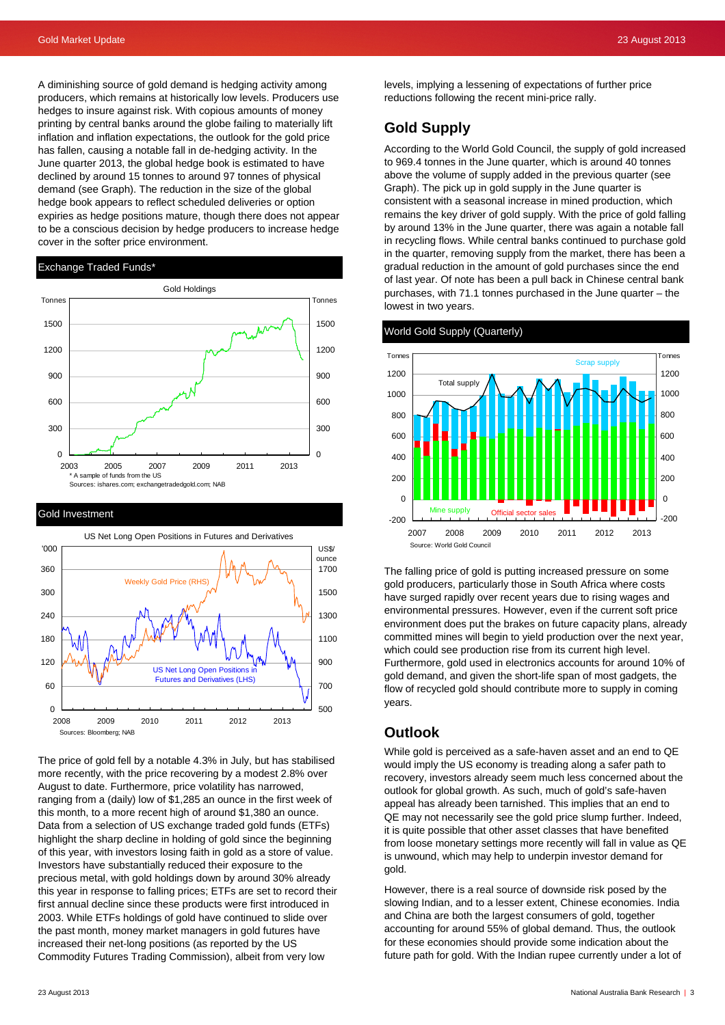1200

A diminishing source of gold demand is hedging activity among producers, which remains at historically low levels. Producers use hedges to insure against risk. With copious amounts of money printing by central banks around the globe failing to materially lift inflation and inflation expectations, the outlook for the gold price has fallen, causing a notable fall in de-hedging activity. In the June quarter 2013, the global hedge book is estimated to have declined by around 15 tonnes to around 97 tonnes of physical demand (see Graph). The reduction in the size of the global hedge book appears to reflect scheduled deliveries or option expiries as hedge positions mature, though there does not appear to be a conscious decision by hedge producers to increase hedge cover in the softer price environment.

### Exchange Traded Funds\*



### Gold Investment



The price of gold fell by a notable 4.3% in July, but has stabilised more recently, with the price recovering by a modest 2.8% over August to date. Furthermore, price volatility has narrowed, ranging from a (daily) low of \$1,285 an ounce in the first week of this month, to a more recent high of around \$1,380 an ounce. Data from a selection of US exchange traded gold funds (ETFs) highlight the sharp decline in holding of gold since the beginning of this year, with investors losing faith in gold as a store of value. Investors have substantially reduced their exposure to the precious metal, with gold holdings down by around 30% already this year in response to falling prices; ETFs are set to record their first annual decline since these products were first introduced in 2003. While ETFs holdings of gold have continued to slide over the past month, money market managers in gold futures have increased their net-long positions (as reported by the US Commodity Futures Trading Commission), albeit from very low

levels, implying a lessening of expectations of further price reductions following the recent mini-price rally.

### **Gold Supply**

According to the World Gold Council, the supply of gold increased to 969.4 tonnes in the June quarter, which is around 40 tonnes above the volume of supply added in the previous quarter (see Graph). The pick up in gold supply in the June quarter is consistent with a seasonal increase in mined production, which remains the key driver of gold supply. With the price of gold falling by around 13% in the June quarter, there was again a notable fall in recycling flows. While central banks continued to purchase gold in the quarter, removing supply from the market, there has been a gradual reduction in the amount of gold purchases since the end of last year. Of note has been a pull back in Chinese central bank purchases, with 71.1 tonnes purchased in the June quarter – the lowest in two years.



#### World Gold Supply (Quarterly)

Source: World Gold Council

Mine supply

The falling price of gold is putting increased pressure on some gold producers, particularly those in South Africa where costs have surged rapidly over recent years due to rising wages and environmental pressures. However, even if the current soft price environment does put the brakes on future capacity plans, already committed mines will begin to yield production over the next year, which could see production rise from its current high level. Furthermore, gold used in electronics accounts for around 10% of gold demand, and given the short-life span of most gadgets, the flow of recycled gold should contribute more to supply in coming years.

2007 2008 2009 2010 2011 2012 2013

Official sector sales

### **Outlook**

-200  $\overline{0}$ 

While gold is perceived as a safe-haven asset and an end to QE would imply the US economy is treading along a safer path to recovery, investors already seem much less concerned about the outlook for global growth. As such, much of gold's safe-haven appeal has already been tarnished. This implies that an end to QE may not necessarily see the gold price slump further. Indeed, it is quite possible that other asset classes that have benefited from loose monetary settings more recently will fall in value as QE is unwound, which may help to underpin investor demand for gold.

However, there is a real source of downside risk posed by the slowing Indian, and to a lesser extent, Chinese economies. India and China are both the largest consumers of gold, together accounting for around 55% of global demand. Thus, the outlook for these economies should provide some indication about the future path for gold. With the Indian rupee currently under a lot of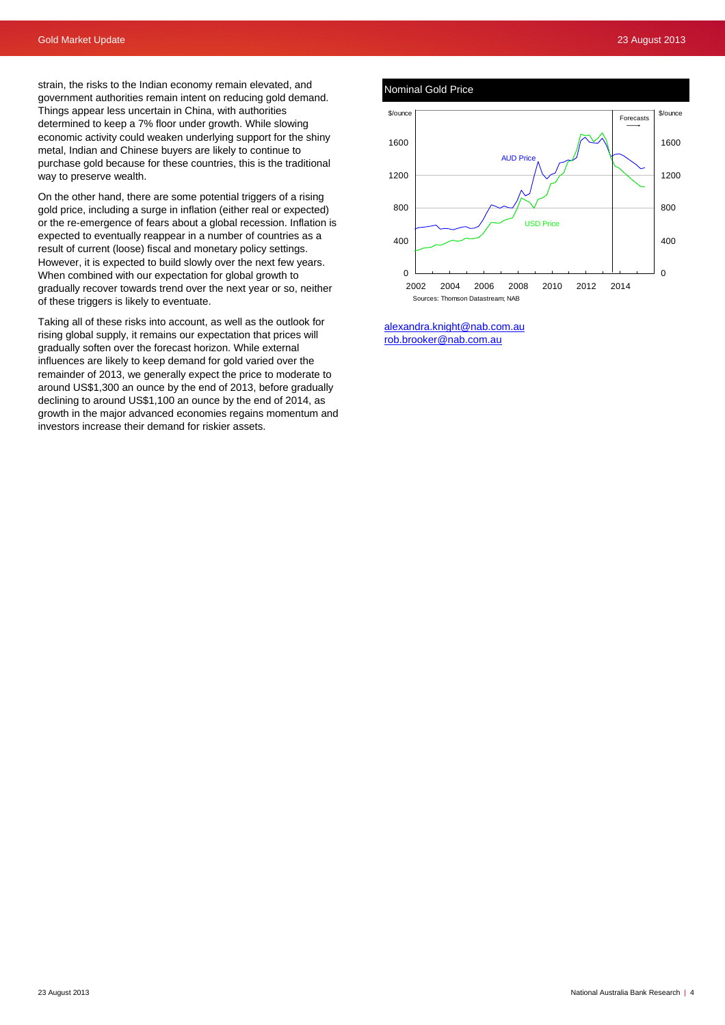Nominal Gold Price



[alexandra.knight@nab.com.au](mailto:alexandra.knight@nab.com.au)  [rob.brooker@nab.com.au](mailto:rob.brooker@nab.com.au)

strain, the risks to the Indian economy remain elevated, and government authorities remain intent on reducing gold demand. Things appear less uncertain in China, with authorities determined to keep a 7% floor under growth. While slowing economic activity could weaken underlying support for the shiny metal, Indian and Chinese buyers are likely to continue to purchase gold because for these countries, this is the traditional way to preserve wealth.

On the other hand, there are some potential triggers of a rising gold price, including a surge in inflation (either real or expected) or the re-emergence of fears about a global recession. Inflation is expected to eventually reappear in a number of countries as a result of current (loose) fiscal and monetary policy settings. However, it is expected to build slowly over the next few years. When combined with our expectation for global growth to gradually recover towards trend over the next year or so, neither of these triggers is likely to eventuate.

Taking all of these risks into account, as well as the outlook for rising global supply, it remains our expectation that prices will gradually soften over the forecast horizon. While external influences are likely to keep demand for gold varied over the remainder of 2013, we generally expect the price to moderate to around US\$1,300 an ounce by the end of 2013, before gradually declining to around US\$1,100 an ounce by the end of 2014, as growth in the major advanced economies regains momentum and investors increase their demand for riskier assets.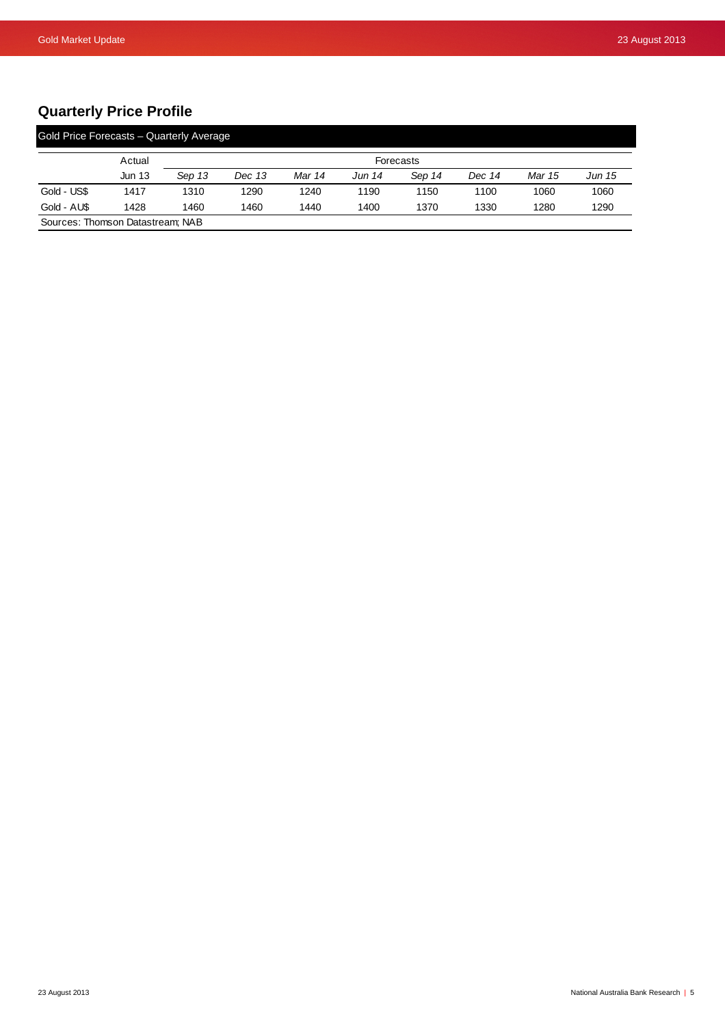# **Quarterly Price Profile**

|                                  | Actual        | Forecasts |        |        |        |        |        |        |        |
|----------------------------------|---------------|-----------|--------|--------|--------|--------|--------|--------|--------|
|                                  | <b>Jun 13</b> | Sep 13    | Dec 13 | Mar 14 | Jun 14 | Sep 14 | Dec 14 | Mar 15 | Jun 15 |
| Gold - US\$                      | 1417          | 1310      | 1290   | 1240   | 1190   | 1150   | 1100   | 1060   | 1060   |
| Gold - AUS                       | 1428          | 1460      | 1460   | 1440   | 1400   | 1370   | 1330   | 1280   | 1290   |
| Sources: Thomson Datastream; NAB |               |           |        |        |        |        |        |        |        |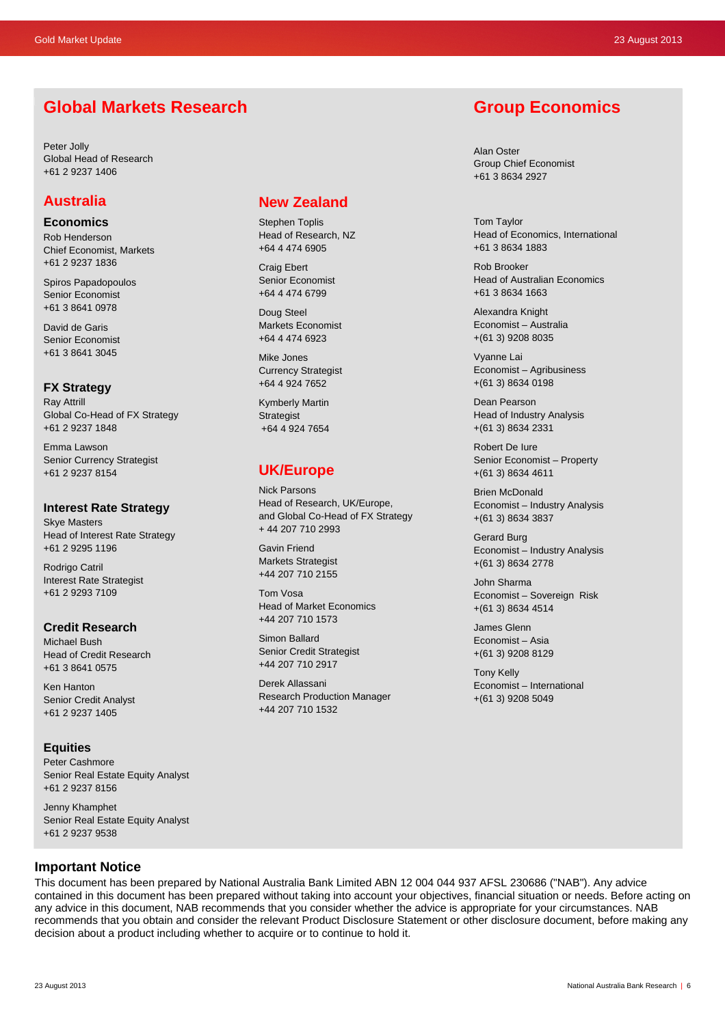# **Global Markets Research**

Peter Jolly Global Head of Research +61 2 9237 1406

## **Australia**

**Economics** 

Rob Henderson Chief Economist, Markets +61 2 9237 1836

Spiros Papadopoulos Senior Economist +61 3 8641 0978

David de Garis Senior Economist +61 3 8641 3045

**FX Strategy**  Ray Attrill Global Co-Head of FX Strategy +61 2 9237 1848

Emma Lawson Senior Currency Strategist +61 2 9237 8154

### **Interest Rate Strategy**

Skye Masters Head of Interest Rate Strategy +61 2 9295 1196

Rodrigo Catril Interest Rate Strategist +61 2 9293 7109

### **Credit Research**

Michael Bush Head of Credit Research +61 3 8641 0575

Ken Hanton Senior Credit Analyst +61 2 9237 1405

### **Equities**

Peter Cashmore Senior Real Estate Equity Analyst +61 2 9237 8156

Jenny Khamphet Senior Real Estate Equity Analyst +61 2 9237 9538

# **New Zealand**

Stephen Toplis Head of Research, NZ +64 4 474 6905

Craig Ebert Senior Economist +64 4 474 6799

Doug Steel Markets Economist +64 4 474 6923

Mike Jones Currency Strategist +64 4 924 7652

Kymberly Martin **Strategist** +64 4 924 7654

# **UK/Europe**

Nick Parsons Head of Research, UK/Europe, and Global Co-Head of FX Strategy + 44 207 710 2993

Gavin Friend Markets Strategist +44 207 710 2155

Tom Vosa Head of Market Economics +44 207 710 1573

Simon Ballard Senior Credit Strategist +44 207 710 2917

Derek Allassani Research Production Manager +44 207 710 1532

# **Group Economics**

Alan Oster Group Chief Economist +61 3 8634 2927

Tom Taylor Head of Economics, International +61 3 8634 1883

Rob Brooker Head of Australian Economics +61 3 8634 1663

Alexandra Knight Economist – Australia +(61 3) 9208 8035

Vyanne Lai Economist – Agribusiness +(61 3) 8634 0198

Dean Pearson Head of Industry Analysis +(61 3) 8634 2331

Robert De Iure Senior Economist – Property +(61 3) 8634 4611

Brien McDonald Economist – Industry Analysis +(61 3) 8634 3837

Gerard Burg Economist – Industry Analysis +(61 3) 8634 2778

John Sharma Economist – Sovereign Risk +(61 3) 8634 4514

James Glenn Economist – Asia +(61 3) 9208 8129

Tony Kelly Economist – International +(61 3) 9208 5049

### **Important Notice**

This document has been prepared by National Australia Bank Limited ABN 12 004 044 937 AFSL 230686 ("NAB"). Any advice contained in this document has been prepared without taking into account your objectives, financial situation or needs. Before acting on any advice in this document, NAB recommends that you consider whether the advice is appropriate for your circumstances. NAB recommends that you obtain and consider the relevant Product Disclosure Statement or other disclosure document, before making any decision about a product including whether to acquire or to continue to hold it.